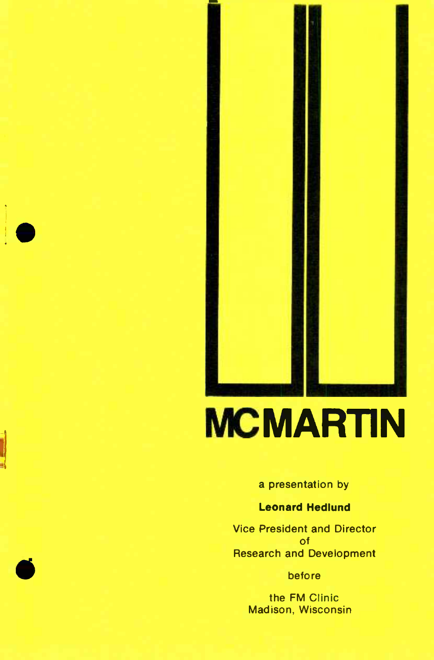# **MCMARTIN**

#### a presentation by

#### Leonard Hedlund

Vice President and Director of Research and Development

before

the FM Clinic Madison, Wisconsin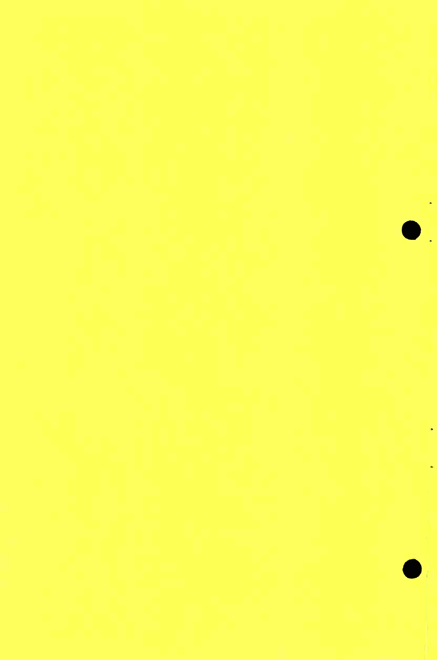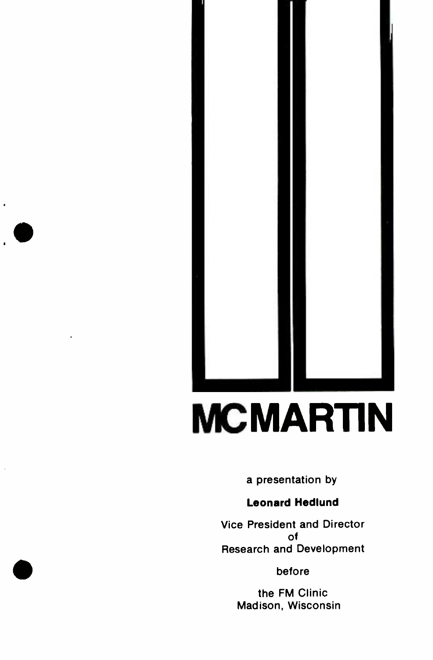$\overline{\phantom{a}}$ 

## **MCMARTIN**

a presentation by

#### Leonard Hedlund

Vice President and Director of Research and Development

before

the FM Clinic Madison, Wisconsin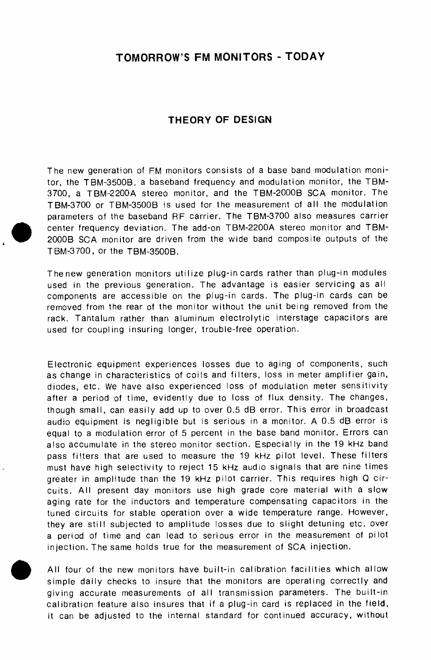#### TOMORROW'S FM MONITORS - TODAY

#### THEORY OF DESIGN

The new generation of FM monitors consists of a base band modulation monitor, the TBM-3500B, a baseband frequency and modulation monitor, the TBM-3700, a TBM -2200A stereo monitor, and the TBM -2000B SCA monitor. The TBM -3700 or TBM -3500B is used for the measurement of all the modulation parameters of the baseband RF carrier. The TBM -3700 also measures carrier center frequency deviation. The add-on TBM-2200A stereo monitor and TBM-2000B SCA monitor are driven from the wide band composite outputs of the TBM -3700, or the TBM- 3500B.

The new generation monitors utilize plug-in cards rather than plug-in modules used in the previous generation. The advantage is easier servicing as all components are accessible on the plug-in cards. The plug-in cards can be removed from the rear of the monitor without the unit being removed from the rack. Tantalum rather than aluminum electrolytic interstage capacitors are used for coupling insuring longer, trouble-free operation.

Electronic equipment experiences losses due to aging of components, such as change in characteristics of coils and filters, loss in meter amplifier gain, diodes, etc. We have also experienced loss of modulation meter sensitivity after a period of time, evidently due to loss of flux density. The changes, though small, can easily add up to over 0.5 dB error. This error in broadcast audio equipment is negligible but is serious in a monitor. A 0.5 dB error is equal to a modulation error of 5 percent in the base band monitor. Errors can also accumulate in the stereo monitor section. Especially in the 19 kHz band pass filters that are used to measure the 19 kHz pilot level. These filters must have high selectivity to reject 15 kHz audio signals that are nine times greater in amplitude than the 19 kHz pilot carrier. This requires high Q circuits. All present day monitors use high grade core material with a slow aging rate for the inductors and temperature compensating capacitors in the tuned circuits for stable operation over a wide temperature range. However, they are still subjected to amplitude losses due to slight detuning etc. over <sup>a</sup>period of time and can lead to serious error in the measurement of pilot injection. The same holds true for the measurement of SCA injection.

All four of the new monitors have built-in calibration facilities which allow simple daily checks to insure that the monitors are operating correctly and giving accurate measurements of all transmission parameters. The built-in calibration feature also insures that if a plug-in card is replaced in the field, it can be adjusted to the internal standard for continued accuracy, without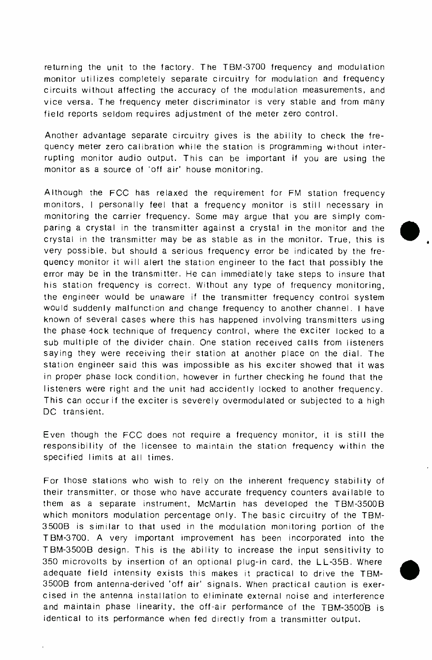returning the unit to the factory. The TBM -3700 frequency and modulation monitor utilizes completely separate circuitry for modulation and frequency circuits without affecting the accuracy of the modulation measurements, and vice versa. The frequency meter discriminator is very stable and from many field reports seldom requires adjustment of the meter zero control.

Another advantage separate circuitry gives is the ability to check the frequency meter zero calibration while the station is programming without interrupting monitor audio output. This can be important if you are using the monitor as a source of 'off air' house monitoring.

Although the FCC has relaxed the requirement for FM station frequency monitors, I personally feel that a frequency monitor is still necessary in monitoring the carrier frequency. Some may argue that you are simply com paring a crystal in the transmitter against a crystal in the monitor and the crystal in the transmitter may be as stable as in the monitor. True, this is very possible, but should a serious frequency error be indicated by the frequency monitor it will alert the station engineer to the fact that possibly the error may be in the transmitter. He can immediately take steps to insure that his station frequency is correct. Without any type of frequency monitoring, the engineer would be unaware if the transmitter frequency control system would suddenly malfunction and change frequency to another channel. I have known of several cases where this has happened involving transmitters using the phase-lock technique of frequency control, where the exciter locked to a sub multiple of the divider chain. One station received calls from listeners saying they were receiving their station at another place on the dial. The station engineer said this was impossible as his exciter showed that it was in proper phase lock condition, however in further checking he found that the listeners were right and the unit had accidently locked to another frequency. This can occur if the exciter is severely overmodulated or subjected to a high DC transient.

Even though the FCC does not require a frequency monitor, it is still the responsibility of the licensee to maintain the station frequency within the specified limits at all times.

For those stations who wish to rely on the inherent frequency stability of their transmitter, or those who have accurate frequency counters available to them as a separate instrument, McMartin has developed the TBM -3500B which monitors modulation percentage only. The basic circuitry of the TBM-3500B is similar to that used in the modulation monitoring portion of the TBM -3700. A very important improvement has been incorporated into the TBM -3500B design. This is the ability to increase the input sensitivity to 350 microvolts by insertion of an optional plug-in card, the LL-35B. Where adequate field intensity exists this makes it practical to drive the TBM - 3500B from antenna -derived 'off air' signals. When practical caution is exercised in the antenna installation to eliminate external noise and interference and maintain phase linearity, the off-air performance of the TBM-3500B is identical to its performance when fed directly from a transmitter output.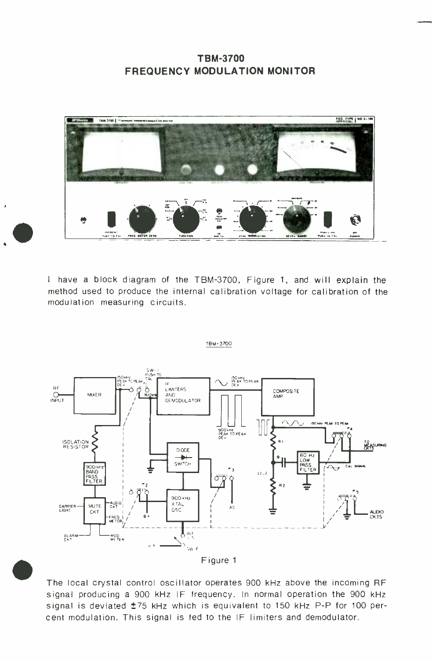TBM -3700 FREQUENCY MODULATION MONITOR



<sup>I</sup>have a block diagram of the TBM -3700, Figure 1, and will explain the method used to produce the internal calibration voltage for calibration of the modulation measuring circuits.

TBM-3700



Figure <sup>1</sup>

The local crystal control oscillator operates 900 kHz above the incoming RF signal producing a 900 kHz IF frequency. In normal operation the 900 kHz signal is deviated  $±75$  kHz which is equivalent to 150 kHz P-P for 100 percent modulation. This signal is fed to the IF limiters and demodulator.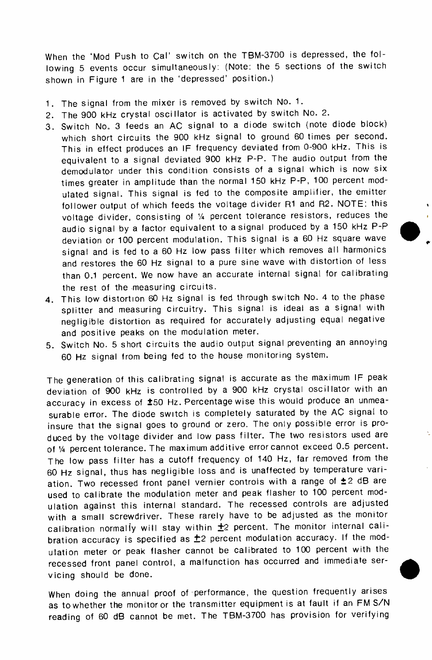When the 'Mod Push to Cal' switch on the TBM -3700 is depressed, the following 5 events occur simultaneously: (Note: the 5 sections of the switch shown in Figure 1 are in the 'depressed' position.)

- 1. The signal from the mixer is removed by switch No. 1.
- 2. The 900 kHz crystal oscillator is activated by switch No. 2.
- 3. Switch No. 3 feeds an AC signal to a diode switch (note diode block) which short circuits the 900 kHz signal to ground 60 times per second. This in effect produces an IF frequency deviated from 0 -900 kHz. This is equivalent to a signal deviated 900 kHz P-P. The audio output from the demodulator under this condition consists of a signal which is now six times greater in amplitude than the normal 150 kHz P-P, 100 percent modulated signal. This signal is fed to the composite amplifier, the emitter follower output of which feeds the voltage divider R1 and R2. NOTE: this voltage divider, consisting of 1/4 percent tolerance resistors, reduces the audio signal by a factor equivalent to a signal produced by a 150 kHz P-P deviation or 100 percent modulation. This signal is a 60 Hz square wave signal and is fed to a 60 Hz low pass filter which removes all harmonics and restores the 60 Hz signal to a pure sine wave with distortion of less than 0.1 percent. We now have an accurate internal signal for calibrating the rest of the measuring circuits.
- 4. This low distortion 60 Hz signal is fed through switch No. 4 to the phase splitter and measuring circuitry. This signal is ideal as a signal with negligible distortion as required for accurately adjusting equal negative and positive peaks on the modulation meter.
- 5. Switch No. 5 short circuits the audio output signal preventing an annoying 60 Hz signal from being fed to the house monitoring system.

The generation of this calibrating signal is accurate as the maximum IF peak deviation of 900 kHz is controlled by a 900 kHz crystal oscillator with an accuracy in excess of ±50 Hz. Percentage wise this would produce an unmea surable error. The diode switch is completely saturated by the AC signal to insure that the signal goes to ground or zero. The only possible error is pro-<br>duced by the voltage divider and low pass filter. The two resistors used are of 1/4 percent tolerance. The maximum additive error cannot exceed 0.5 percent. The low pass filter has a cutoff frequency of 140 Hz, far removed from the 60 Hz signal, thus has negligible loss and is unaffected by temperature vari-<br>ation. Two recessed front panel vernier controls with a range of  $\pm$ 2 dB are used to calibrate the modulation meter and peak flasher to 100 percent modulation against this internal standard. The recessed controls are adjusted with a small screwdriver. These rarely have to be adjusted as the monitor calibration normally will stay within  $\pm 2$  percent. The monitor internal calibration accuracy is specified as  $±2$  percent modulation accuracy. If the modulation meter or peak flasher cannot be calibrated to 100 percent with the recessed front panel control, a malfunction has occurred and immediate servicing should be done.

When doing the annual proof of performance, the question frequently arises as to whether the monitor or the transmitter equipment is at fault if an FM S/N reading of 60 dB cannot be met. The TBM -3700 has provision for verifying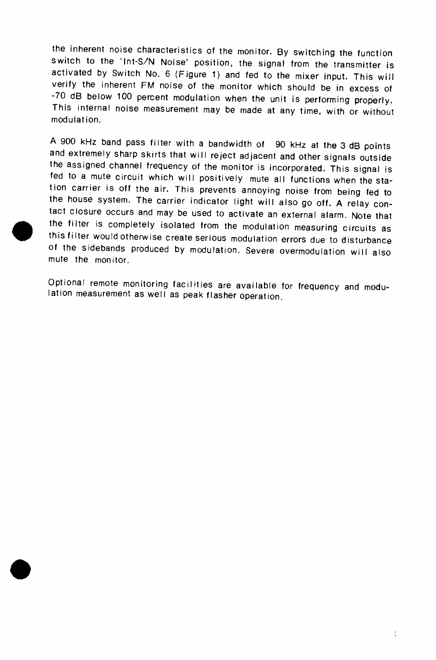the inherent noise characteristics of the monitor. By switching the function<br>switch to the 'Int-S/N Noise' position, the signal from the transmitter is<br>activated by Switch No. 6 (Figure 1) and fed to the mixer input. This This internal noise measurement may be made at any time, with or without modulation.

A 900 kHz band pass filter with a bandwidth of 90 kHz at the 3 dB points<br>and extremely sharp skirts that will reject adjacent and other signals outside<br>the assigned channel frequency of the monitor is incorporated. This s this filter would otherwise create serious modulation errors due to disturbance of the sidebands produced by modulation. Severe overmodulation will also mute the monitor.

Optional remote monitoring facilities are available for frequency and modu- lation measurement as well as peak flasher operation.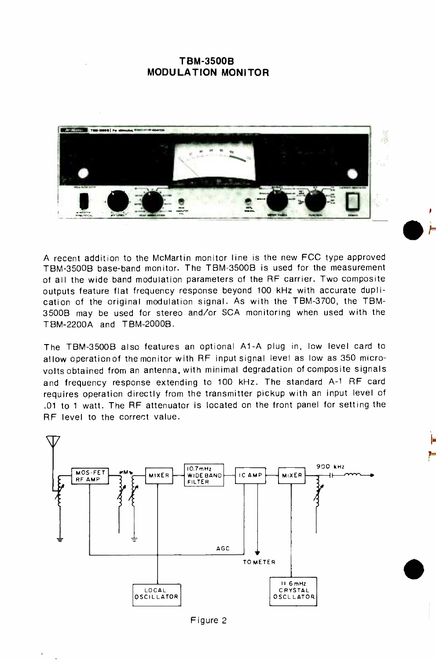#### TBM -3500B MODULATION MONITOR



A recent addition to the McMartin monitor line is the new FCC type approved TBM -3500B base -band monitor. The TBM -3500B is used for the measurement of all the wide band modulation parameters of the RF carrier. Two composite outputs feature flat frequency response beyond 100 kHz with accurate duplication of the original modulation signal. As with the TBM-3700, the TBM-3500B may be used for stereo and /or SCA monitoring when used with the TBM -2200A and TBM- 2000B.

The TBM -3500B also features an optional Al -A plug in, low level card to allow operation of the monitor with RF input signal level as low as 350 microvolts obtained from an antenna, with minimal degradation of composite signals and frequency response extending to 100 kHz. The standard A-1 RF card requires operation directly from the transmitter pickup with an input level of .01 to 1 watt. The RF attenuator is located on the front panel for setting the RF level to the correct value.



Figure 2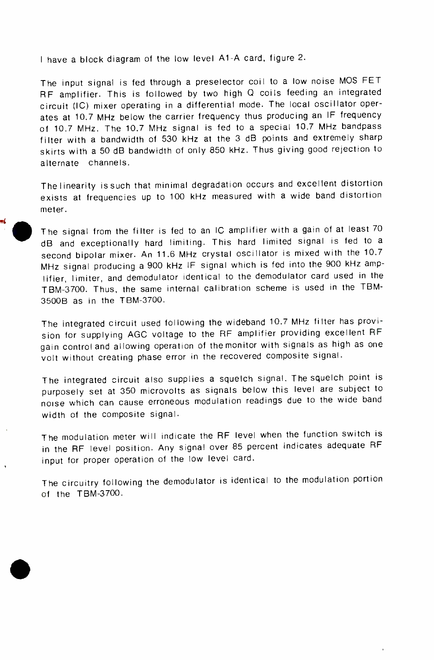I have a block diagram of the low level A1-A card, figure 2.

The input signal is fed through a preselector coil to a low noise MOS FET RF amplifier. This is followed by two high Q coils feeding an integrated circuit (IC) mixer operating in a differential mode. The local oscillator operates at 10.7 MHz below the carrier frequency thus producing an IF frequency of 10.7 MHz. The 10.7 MHz signal is fed to a special 10.7 MHz bandpass filter with a bandwidth of 530 kHz at the 3 dB points and extremely sharp skirts with a 50 dB bandwidth of only 850 kHz. Thus giving good rejection to alternate channels.

The linearity is such that minimal degradation occurs and excellent distortion exists at frequencies up to 100 kHz measured with a wide band distortion meter.

The signal from the filter is fed to an IC amplifier with a gain of at least <sup>70</sup> dB and exceptionally hard limiting. This hard limited signal is fed to <sup>a</sup>second bipolar mixer. An 11.6 MHz crystal oscillator is mixed with the 10.7 MHz signal producing a 900 kHz IF signal which is fed into the 900 kHz amplifier, limiter, and demodulator identical to the demodulator card used in the TBM -3700. Thus, the same internal calibration scheme is used in the TBM - 3500B as in the TBM -3700.

The integrated circuit used following the wideband 10.7 MHz filter has provision for supplying AGC voltage to the RF amplifier providing excellent RF gain control and allowing operation of the monitor with signals as high as one volt without creating phase error in the recovered composite signal.

The integrated circuit also supplies a squelch signal. The squelch point is purposely set at 350 microvolts as signals below this level are subject to noise which can cause erroneous modulation readings due to the wide band width of the composite signal.

The modulation meter will indicate the RF level when the function switch is in the RF level position. Any signal over 85 percent indicates adequate RF input for proper operation of the low level card.

The circuitry following the demodulator is identical to the modulation portion of the TBM -3700.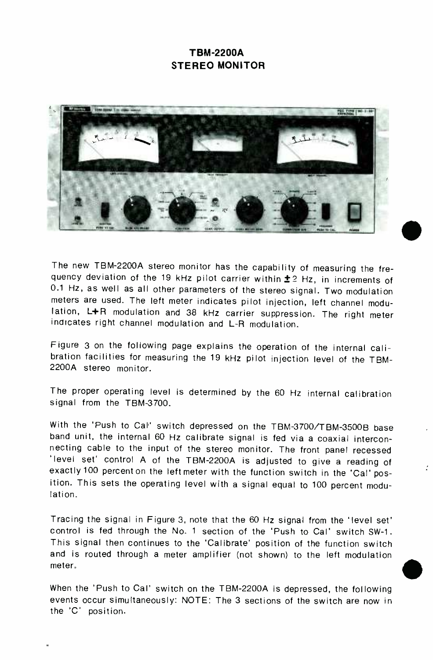#### TBM -2200A STEREO MONITOR



The new TBM-2200A stereo monitor has the capability of measuring the frequency deviation of the 19 kHz pilot carrier within ±2 Hz, in increments of 0.1 Hz, as well as all other parameters of the stereo signal. Two modulation meters are used. The left meter indicates pilot injection, left channel modulation, L+R modulation and 38 kHz carrier suppression. The right meter indicates right channel modulation and L-R modulation.

Figure 3 on the following page explains the operation of the internal calibration facilities for measuring the 19 kHz pilot injection level of the TBM-<br>2200A stereo monitor.

The proper operating level is determined by the 60 Hz internal calibration signal from the TBM -3700.

With the 'Push to Cal' switch depressed on the TBM-3700/TBM-3500B base band unit, the internal 60 Hz calibrate signal is fed via a coaxial interconnecting cable to the input of the stereo monitor. The front panel recessed 'level set' control A of the TBM -2200A is adjusted to give a reading of exactly 100 percent on the left meter with the function switch in the 'Cal' position. This sets the operating level with a signal equal to 100 percent modulation.

 $\rlap{.}^{\prime}$ 

Tracing the signal in Figure 3, note that the 60 Hz signal from the 'level set' control is fed through the No. 1 section of the 'Push to Cal' switch SW-1. This signal then continues to the 'Calibrate' position of the function switch and is routed through a meter amplifier (not shown) to the left modulation meter.

When the 'Push to Cal' switch on the TBM -2200A is depressed, the following events occur simultaneously: NOTE: The 3 sections of the switch are now in the 'C' position.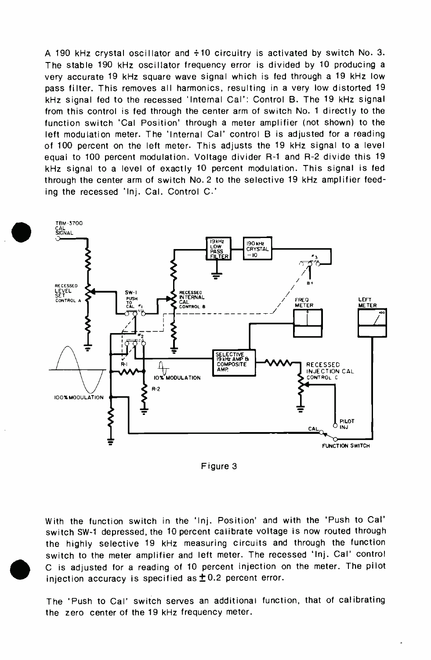A 190 kHz crystal oscillator and  $\div 10$  circuitry is activated by switch No. 3. The stable 190 kHz oscillator frequency error is divided by 10 producing a very accurate 19 kHz square wave signal which is fed through a 19 kHz low pass filter. This removes all harmonics, resulting in a very low distorted 19 kHz signal fed to the recessed 'Internal Cal': Control B. The 19 kHz signal from this control is fed through the center arm of switch No. 1 directly to the function switch 'Cal Position' through a meter amplifier (not shown) to the left modulation meter. The 'Internal Cal' control B is adjusted for a reading of 100 percent on the left meter. This adjusts the 19 kHz signal to a level equal to 100 percent modulation. Voltage divider R-1 and R-2 divide this 19 kHz signal to a level of exactly 10 percent modulation. This signal is fed through the center arm of switch No.2 to the selective 19 kHz amplifier feeding the recessed 'Inj. Cal. Control C.'





With the function switch in the 'Inj. Position' and with the 'Push to Cal' switch SW-1 depressed, the 10 percent calibrate voltage is now routed through the highly selective 19 kHz measuring circuits and through the function switch to the meter amplifier and left meter. The recessed 'Inj. Cal' control <sup>C</sup>is adjusted for a reading of 10 percent injection on the meter. The pilot injection accuracy is specified as  $\pm$  0.2 percent error.

The 'Push to Cal' switch serves an additional function, that of calibrating the zero center of the 19 kHz frequency meter.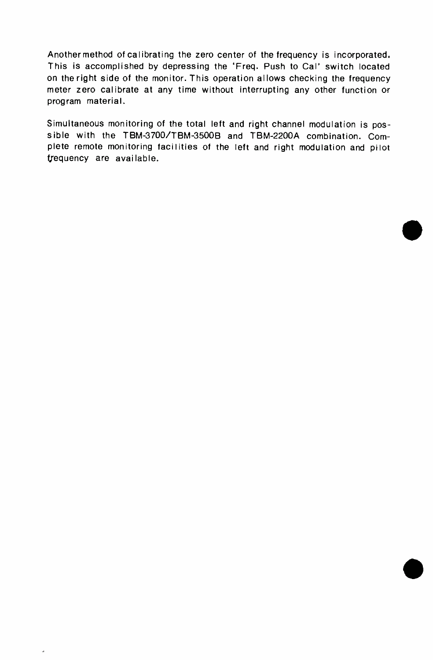Another method of calibrating the zero center of the frequency is incorporated. This is accomplished by depressing the 'Freq. Push to Cal' switch located on the right side of the monitor. This operation allows checking the frequency meter zero calibrate at any time without interrupting any other function or program material.

Simultaneous monitoring of the total left and right channel modulation is possible with the TBM-3700/TBM-3500B and TBM-2200A combination. Complete remote monitoring facilities of the left and right modulation and pilot frequency are available.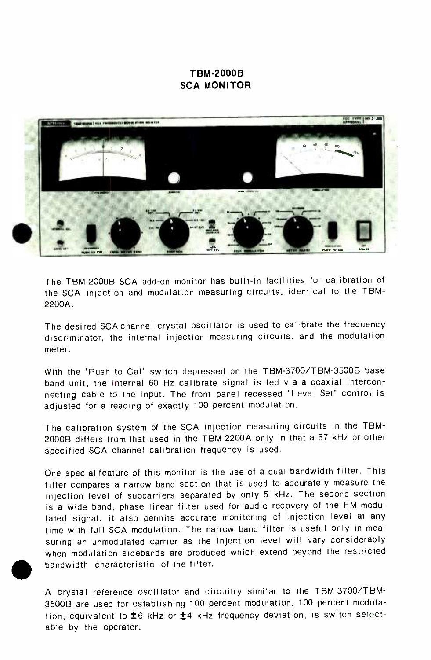### TBM-2000B



The TBM-2000B SCA add-on monitor has built-in facilities for calibration of the SCA injection and modulation measuring circuits, identical to the TBM - 2200A.

The desired SCA channel crystal oscillator is used to calibrate the frequency discriminator, the internal injection measuring circuits, and the modulation meter.

With the 'Push to Cal' switch depressed on the TBM-3700/TBM-3500B base band unit, the internal 60 Hz calibrate signal is fed via a coaxial interconnecting cable to the input. The front panel recessed 'Level Set' control is adjusted for a reading of exactly 100 percent modulation.

The calibration system of the SCA injection measuring circuits in the TBM-2000B differs from that used in the TBM -2200A only in that a 67 kHz or other specified SCA channel calibration frequency is used.

One special feature of this monitor is the use of a dual bandwidth filter. This filter compares a narrow band section that is used to accurately measure the injection level of subcarriers separated by only 5 kHz. The second section is a wide band, phase linear filter used for audio recovery of the FM modulated signal. it also permits accurate monitoring of injection level at any time with full SCA modulation. The narrow band filter is useful only in mea suring an unmodulated carrier as the injection level will vary considerably when modulation sidebands are produced which extend beyond the restricted bandwidth characteristic of the filter.

A crystal reference oscillator and circuitry similar to the TBM-3700/TBM-3500B are used for establishing 100 percent modulation. 100 percent modulation, equivalent to ±6 kHz or ±4 kHz frequency deviation, is switch selectable by the operator.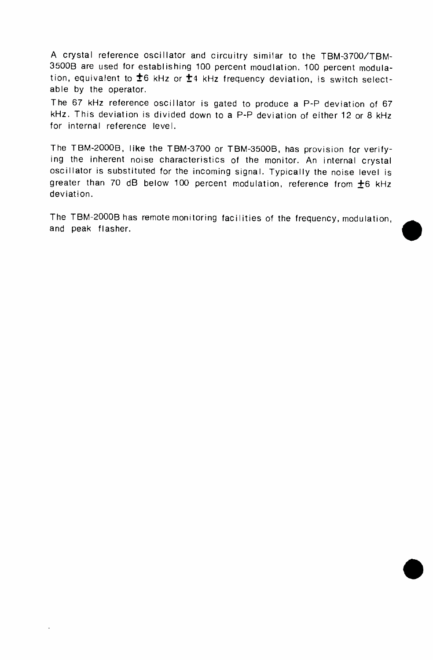A crystal reference oscillator and circuitry similar to the TBM-3700/TBM-3500B are used for establishing 100 percent moudlation. 100 percent modulation, equivalent to ±6 kHz or ±4 kHz frequency deviation, is switch selectable by the operator.

The 67 kHz reference oscillator is gated to produce a P-P deviation of 67 kHz. This deviation is divided down to a P-P deviation of either 12 or 8 kHz for internal reference level.

The TBM-2000B, like the TBM-3700 or TBM-3500B, has provision for verifying the inherent noise characteristics of the monitor. An internal crystal oscillator is substituted for the incoming signal. Typically the noise level is greater than 70 dB below 100 percent modulation, reference from  $\pm$ 6 kHz deviation.

The TBM -2000B has remote monitoring facilities of the frequency, modulation, and peak flasher.